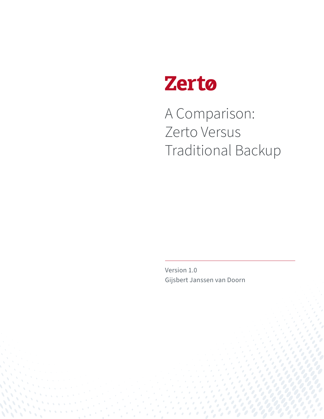

A Comparison: Zerto Versus Traditional Backup

Version 1.0 Gijsbert Janssen van Doorn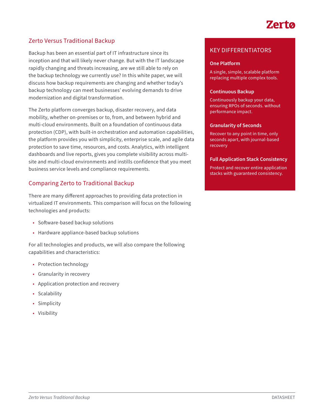# Zerta

## Zerto Versus Traditional Backup

Backup has been an essential part of IT infrastructure since its inception and that will likely never change. But with the IT landscape rapidly changing and threats increasing, are we still able to rely on the backup technology we currently use? In this white paper, we will discuss how backup requirements are changing and whether today's backup technology can meet businesses' evolving demands to drive modernization and digital transformation.

The Zerto platform converges backup, disaster recovery, and data mobility, whether on-premises or to, from, and between hybrid and multi-cloud environments. Built on a foundation of continuous data protection (CDP), with built-in orchestration and automation capabilities, the platform provides you with simplicity, enterprise scale, and agile data protection to save time, resources, and costs. Analytics, with intelligent dashboards and live reports, gives you complete visibility across multisite and multi-cloud environments and instills confidence that you meet business service levels and compliance requirements.

## Comparing Zerto to Traditional Backup

There are many different approaches to providing data protection in virtualized IT environments. This comparison will focus on the following technologies and products:

- Software-based backup solutions
- Hardware appliance-based backup solutions

For all technologies and products, we will also compare the following capabilities and characteristics:

- Protection technology
- Granularity in recovery
- Application protection and recovery
- Scalability
- Simplicity
- Visibility

### KEY DIFFERENTIATORS

#### **One Platform**

A single, simple, scalable platform replacing multiple complex tools.

#### **Continuous Backup**

Continuously backup your data, ensuring RPOs of seconds. without performance impact.

#### **Granularity of Seconds**

Recover to any point in time, only seconds apart, with journal-based recovery

#### **Full Application Stack Consistency**

Protect and recover entire application stacks with guaranteed consistency.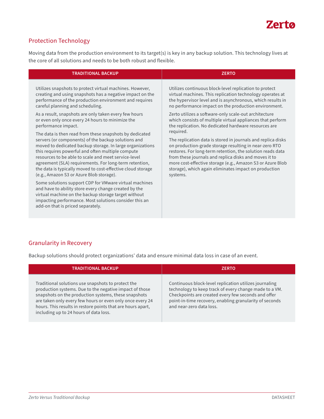

# Protection Technology

Moving data from the production environment to its target(s) is key in any backup solution. This technology lives at the core of all solutions and needs to be both robust and flexible.

| <b>TRADITIONAL BACKUP</b>                                                                                                                                                                                                                                              | <b>ZERTO</b>                                                 |
|------------------------------------------------------------------------------------------------------------------------------------------------------------------------------------------------------------------------------------------------------------------------|--------------------------------------------------------------|
| Utilizes snapshots to protect virtual machines. However,                                                                                                                                                                                                               | Utilizes continuous block-level replication to protect       |
| creating and using snapshots has a negative impact on the                                                                                                                                                                                                              | virtual machines. This replication technology operates at    |
| performance of the production environment and requires                                                                                                                                                                                                                 | the hypervisor level and is asynchronous, which results in   |
| careful planning and scheduling.                                                                                                                                                                                                                                       | no performance impact on the production environment.         |
| As a result, snapshots are only taken every few hours                                                                                                                                                                                                                  | Zerto utilizes a software-only scale-out architecture        |
| or even only once every 24 hours to minimize the                                                                                                                                                                                                                       | which consists of multiple virtual appliances that perform   |
| performance impact.                                                                                                                                                                                                                                                    | the replication. No dedicated hardware resources are         |
| The data is then read from these snapshots by dedicated                                                                                                                                                                                                                | required.                                                    |
| servers (or components) of the backup solutions and                                                                                                                                                                                                                    | The replication data is stored in journals and replica disks |
| moved to dedicated backup storage. In large organizations                                                                                                                                                                                                              | on production-grade storage resulting in near-zero RTO       |
| this requires powerful and often multiple compute                                                                                                                                                                                                                      | restores. For long-term retention, the solution reads data   |
| resources to be able to scale and meet service-level                                                                                                                                                                                                                   | from these journals and replica disks and moves it to        |
| agreement (SLA) requirements. For long-term retention,                                                                                                                                                                                                                 | more cost-effective storage (e.g., Amazon S3 or Azure Blob   |
| the data is typically moved to cost-effective cloud storage                                                                                                                                                                                                            | storage), which again eliminates impact on production        |
| (e.g., Amazon S3 or Azure Blob storage).                                                                                                                                                                                                                               | systems.                                                     |
| Some solutions support CDP for VMware virtual machines<br>and have to ability store every change created by the<br>virtual machine on the backup storage target without<br>impacting performance. Most solutions consider this an<br>add-on that is priced separately. |                                                              |

## Granularity in Recovery

Backup solutions should protect organizations' data and ensure minimal data loss in case of an event.

| <b>TRADITIONAL BACKUP</b>                                                                                                                                                                                                                                                                                                                   | <b>ZERTO</b>                                                                                                                                                                                                                                                   |
|---------------------------------------------------------------------------------------------------------------------------------------------------------------------------------------------------------------------------------------------------------------------------------------------------------------------------------------------|----------------------------------------------------------------------------------------------------------------------------------------------------------------------------------------------------------------------------------------------------------------|
| Traditional solutions use snapshots to protect the<br>production systems. Due to the negative impact of those<br>snapshots on the production systems, these snapshots<br>are taken only every few hours or even only once every 24<br>hours. This results in restore points that are hours apart,<br>including up to 24 hours of data loss. | Continuous block-level replication utilizes journaling<br>technology to keep track of every change made to a VM.<br>Checkpoints are created every few seconds and offer<br>point-in-time recovery, enabling granularity of seconds<br>and near-zero data loss. |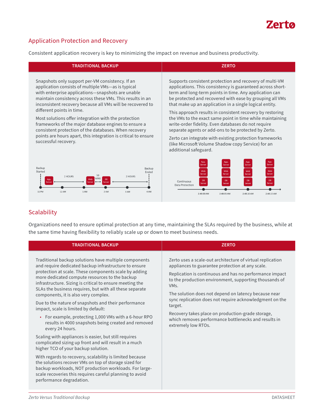# **Zerto**

# Application Protection and Recovery

Consistent application recovery is key to minimizing the impact on revenue and business productivity.

| <b>TRADITIONAL BACKUP</b>                                                                                                                                                                                                                                                                                                                                                   | <b>ZERTO</b>                                                                                                                                                                                                                                                                                                                                                                                                                     |
|-----------------------------------------------------------------------------------------------------------------------------------------------------------------------------------------------------------------------------------------------------------------------------------------------------------------------------------------------------------------------------|----------------------------------------------------------------------------------------------------------------------------------------------------------------------------------------------------------------------------------------------------------------------------------------------------------------------------------------------------------------------------------------------------------------------------------|
| Snapshots only support per-VM consistency. If an<br>application consists of multiple VMs-as is typical<br>with enterprise applications-snapshots are unable<br>maintain consistency across these VMs. This results in an<br>inconsistent recovery because all VMs will be recovered to<br>different points in time.<br>Most solutions offer integration with the protection | Supports consistent protection and recovery of multi-VM<br>applications. This consistency is guaranteed across short-<br>term and long-term points in time. Any application can<br>be protected and recovered with ease by grouping all VMs<br>that make up an application in a single logical entity.<br>This approach results in consistent recovery by restoring<br>the VMs to the exact same point in time while maintaining |
| frameworks of the major database engines to ensure a<br>consistent protection of the databases. When recovery<br>points are hours apart, this integration is critical to ensure                                                                                                                                                                                             | write-order fidelity. Even databases do not require<br>separate agents or add-ons to be protected by Zerto.                                                                                                                                                                                                                                                                                                                      |
| successful recovery.                                                                                                                                                                                                                                                                                                                                                        | Zerto can integrate with existing protection frameworks<br>(like Microsoft Volume Shadow copy Service) for an<br>additional safeguard.                                                                                                                                                                                                                                                                                           |
| Backup<br>Backup<br>Started<br>Ended<br>2 HOURS<br>2 HOURS                                                                                                                                                                                                                                                                                                                  | App.<br>App.<br>App.<br>Server<br>Server<br>Server<br>Server<br>Web<br>Web<br>Web<br>Web<br>Server<br>Server<br>Server<br>Server                                                                                                                                                                                                                                                                                                 |
| MINS<br>Web<br>App                                                                                                                                                                                                                                                                                                                                                          | DB<br><b>DB</b><br>DB<br><b>DB</b><br>Continuous<br>Server<br>Server<br>Data Protection                                                                                                                                                                                                                                                                                                                                          |

# **Scalability**

11 PM

12 AM

 $1AM$ 

2 AM

3 AM

Organizations need to ensure optimal protection at any time, maintaining the SLAs required by the business, while at the same time having flexibility to reliably scale up or down to meet business needs.

2:48:00 AM

2:48:05 AM

2:48:10 AM

2:48:15 AM

 $4AM$ 

| <b>TRADITIONAL BACKUP</b>                                                                                                                                                                                                                                                                                                                                                                | <b>ZERTO</b>                                                                                                                                                                                                                                                                                                                                                                                                                                                                                                               |
|------------------------------------------------------------------------------------------------------------------------------------------------------------------------------------------------------------------------------------------------------------------------------------------------------------------------------------------------------------------------------------------|----------------------------------------------------------------------------------------------------------------------------------------------------------------------------------------------------------------------------------------------------------------------------------------------------------------------------------------------------------------------------------------------------------------------------------------------------------------------------------------------------------------------------|
| Traditional backup solutions have multiple components<br>and require dedicated backup infrastructure to ensure<br>protection at scale. These components scale by adding<br>more dedicated compute resources to the backup<br>infrastructure. Sizing is critical to ensure meeting the<br>SLAs the business requires, but with all these separate<br>components, it is also very complex. | Zerto uses a scale-out architecture of virtual replication<br>appliances to guarantee protection at any scale.<br>Replication is continuous and has no performance impact<br>to the production environment, supporting thousands of<br>VM <sub>S</sub> .<br>The solution does not depend on latency because near<br>sync replication does not require acknowledgment on the<br>target.<br>Recovery takes place on production-grade storage,<br>which removes performance bottlenecks and results in<br>extremely low RTOs. |
| Due to the nature of snapshots and their performance<br>impact, scale is limited by default:                                                                                                                                                                                                                                                                                             |                                                                                                                                                                                                                                                                                                                                                                                                                                                                                                                            |
| • For example, protecting 1,000 VMs with a 6-hour RPO<br>results in 4000 snapshots being created and removed<br>every 24 hours.                                                                                                                                                                                                                                                          |                                                                                                                                                                                                                                                                                                                                                                                                                                                                                                                            |
| Scaling with appliances is easier, but still requires<br>complicated sizing up front and will result in a much<br>higher TCO of your backup solution.                                                                                                                                                                                                                                    |                                                                                                                                                                                                                                                                                                                                                                                                                                                                                                                            |
| With regards to recovery, scalability is limited because<br>the solutions recover VMs on top of storage sized for<br>backup workloads, NOT production workloads. For large-<br>scale recoveries this requires careful planning to avoid<br>performance degradation.                                                                                                                      |                                                                                                                                                                                                                                                                                                                                                                                                                                                                                                                            |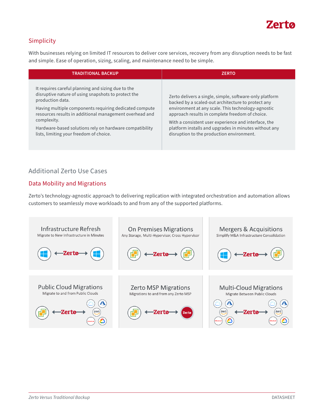

## Simplicity

With businesses relying on limited IT resources to deliver core services, recovery from any disruption needs to be fast and simple. Ease of operation, sizing, scaling, and maintenance need to be simple.

| <b>TRADITIONAL BACKUP</b>                                                                                                                                                                                                                                                                                                                                               | <b>ZERTO</b>                                                                                                                                                                                                                                                                                                                                                                         |
|-------------------------------------------------------------------------------------------------------------------------------------------------------------------------------------------------------------------------------------------------------------------------------------------------------------------------------------------------------------------------|--------------------------------------------------------------------------------------------------------------------------------------------------------------------------------------------------------------------------------------------------------------------------------------------------------------------------------------------------------------------------------------|
| It requires careful planning and sizing due to the<br>disruptive nature of using snapshots to protect the<br>production data.<br>Having multiple components requiring dedicated compute<br>resources results in additional management overhead and<br>complexity.<br>Hardware-based solutions rely on hardware compatibility<br>lists, limiting your freedom of choice. | Zerto delivers a single, simple, software-only platform<br>backed by a scaled-out architecture to protect any<br>environment at any scale. This technology-agnostic<br>approach results in complete freedom of choice.<br>With a consistent user experience and interface, the<br>platform installs and upgrades in minutes without any<br>disruption to the production environment. |

### Additional Zerto Use Cases

#### Data Mobility and Migrations

Zerto's technology-agnostic approach to delivering replication with integrated orchestration and automation allows customers to seamlessly move workloads to and from any of the supported platforms.